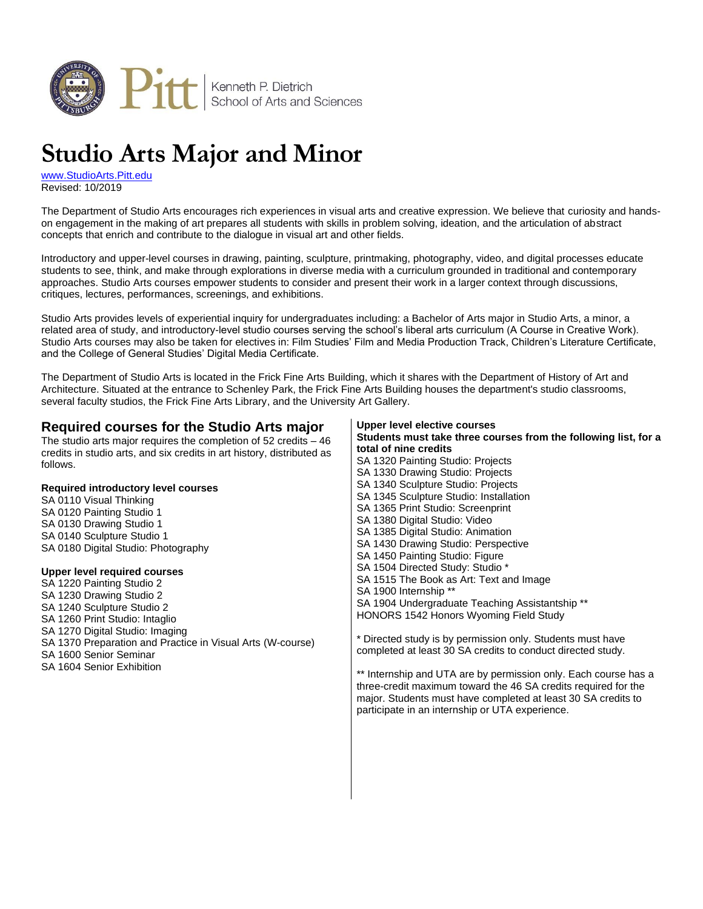

# **Studio Arts Major and Minor**

[www.StudioArts.Pitt.edu](http://www.studioarts.pitt.edu/) Revised: 10/2019

The Department of Studio Arts encourages rich experiences in visual arts and creative expression. We believe that curiosity and handson engagement in the making of art prepares all students with skills in problem solving, ideation, and the articulation of abstract concepts that enrich and contribute to the dialogue in visual art and other fields.

Introductory and upper-level courses in drawing, painting, sculpture, printmaking, photography, video, and digital processes educate students to see, think, and make through explorations in diverse media with a curriculum grounded in traditional and contemporary approaches. Studio Arts courses empower students to consider and present their work in a larger context through discussions, critiques, lectures, performances, screenings, and exhibitions.

Studio Arts provides levels of experiential inquiry for undergraduates including: a Bachelor of Arts major in Studio Arts, a minor, a related area of study, and introductory-level studio courses serving the school's liberal arts curriculum (A Course in Creative Work). Studio Arts courses may also be taken for electives in: Film Studies' Film and Media Production Track, Children's Literature Certificate, and the College of General Studies' Digital Media Certificate.

The Department of Studio Arts is located in the Frick Fine Arts Building, which it shares with the Department of History of Art and Architecture. Situated at the entrance to Schenley Park, the Frick Fine Arts Building houses the department's studio classrooms, several faculty studios, the Frick Fine Arts Library, and the University Art Gallery.

#### **Required courses for the Studio Arts major** The studio arts major requires the completion of 52 credits – 46 credits in studio arts, and six credits in art history, distributed as follows. **Required introductory level courses** SA 0110 Visual Thinking SA 0120 Painting Studio 1 SA 0130 Drawing Studio 1 SA 0140 Sculpture Studio 1 SA 0180 Digital Studio: Photography **Upper level required courses** SA 1220 Painting Studio 2 SA 1230 Drawing Studio 2 SA 1240 Sculpture Studio 2 SA 1260 Print Studio: Intaglio SA 1270 Digital Studio: Imaging SA 1370 Preparation and Practice in Visual Arts (W-course) SA 1600 Senior Seminar SA 1604 Senior Exhibition **Upper level elective courses Students must take three courses from the following list, for a total of nine credits** SA 1320 Painting Studio: Projects SA 1330 Drawing Studio: Projects SA 1340 Sculpture Studio: Projects SA 1345 Sculpture Studio: Installation SA 1365 Print Studio: Screenprint SA 1380 Digital Studio: Video SA 1385 Digital Studio: Animation SA 1430 Drawing Studio: Perspective SA 1450 Painting Studio: Figure SA 1504 Directed Study: Studio \* SA 1515 The Book as Art: Text and Image SA 1900 Internship \*\* SA 1904 Undergraduate Teaching Assistantship \*\* HONORS 1542 Honors Wyoming Field Study \* Directed study is by permission only. Students must have completed at least 30 SA credits to conduct directed study. \*\* Internship and UTA are by permission only. Each course has a three-credit maximum toward the 46 SA credits required for the major. Students must have completed at least 30 SA credits to participate in an internship or UTA experience.